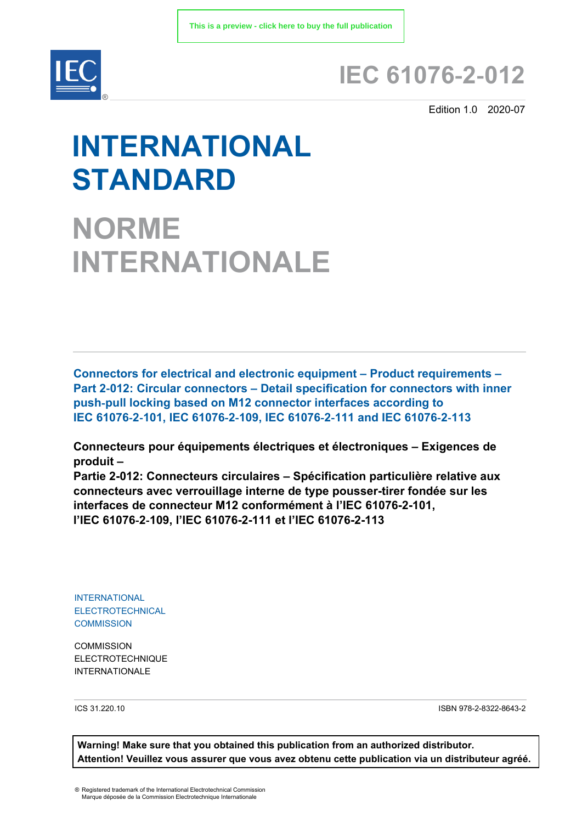

# **IEC 61076**‑**2**‑**012**

Edition 1.0 2020-07

# **INTERNATIONAL STANDARD**

**NORME INTERNATIONALE**

**Connectors for electrical and electronic equipment – Product requirements – Part 2**‑**012: Circular connectors – Detail specification for connectors with inner push**‑**pull locking based on M12 connector interfaces according to IEC 61076**‑**2**‑**101, IEC 61076**‑**2**‑**109, IEC 61076**‑**2**‑**111 and IEC 61076**‑**2**‑**113** 

**Connecteurs pour équipements électriques et électroniques – Exigences de produit –** 

**Partie 2-012: Connecteurs circulaires – Spécification particulière relative aux connecteurs avec verrouillage interne de type pousser-tirer fondée sur les interfaces de connecteur M12 conformément à l'IEC 61076-2-101, l'IEC 61076**‑**2**‑**109, l'IEC 61076-2-111 et l'IEC 61076-2-113**

INTERNATIONAL ELECTROTECHNICAL **COMMISSION** 

**COMMISSION** ELECTROTECHNIQUE INTERNATIONALE

ICS 31.220.10 ISBN 978-2-8322-8643-2

**Warning! Make sure that you obtained this publication from an authorized distributor. Attention! Veuillez vous assurer que vous avez obtenu cette publication via un distributeur agréé.**

® Registered trademark of the International Electrotechnical Commission Marque déposée de la Commission Electrotechnique Internationale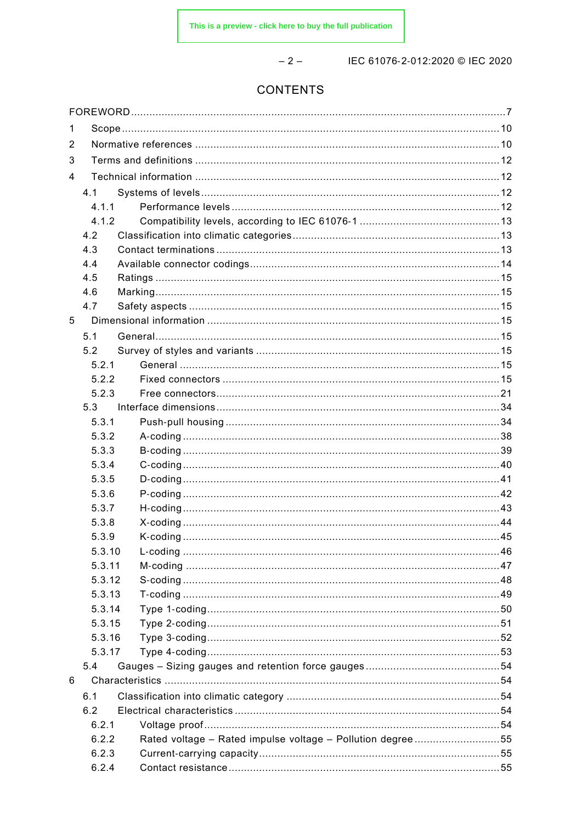$-2-$ 

IEC 61076-2-012:2020 © IEC 2020

# CONTENTS

| 1 |        |                                                            |  |
|---|--------|------------------------------------------------------------|--|
| 2 |        |                                                            |  |
| 3 |        |                                                            |  |
| 4 |        |                                                            |  |
|   | 4.1    |                                                            |  |
|   | 4.1.1  |                                                            |  |
|   | 4.1.2  |                                                            |  |
|   | 4.2    |                                                            |  |
|   | 4.3    |                                                            |  |
|   | 4.4    |                                                            |  |
|   | 4.5    |                                                            |  |
|   | 4.6    |                                                            |  |
|   | 4.7    |                                                            |  |
| 5 |        |                                                            |  |
|   |        |                                                            |  |
|   | 5.1    |                                                            |  |
|   | 5.2    |                                                            |  |
|   | 5.2.1  |                                                            |  |
|   | 5.2.2  |                                                            |  |
|   | 5.2.3  |                                                            |  |
|   | 5.3    |                                                            |  |
|   | 5.3.1  |                                                            |  |
|   | 5.3.2  |                                                            |  |
|   | 5.3.3  |                                                            |  |
|   | 5.3.4  |                                                            |  |
|   | 5.3.5  |                                                            |  |
|   | 5.3.6  |                                                            |  |
|   | 5.3.7  |                                                            |  |
|   | 5.3.8  |                                                            |  |
|   | 5.3.9  |                                                            |  |
|   | 5.3.10 |                                                            |  |
|   | 5.3.11 |                                                            |  |
|   | 5.3.12 |                                                            |  |
|   | 5.3.13 |                                                            |  |
|   | 5.3.14 |                                                            |  |
|   | 5.3.15 |                                                            |  |
|   | 5.3.16 |                                                            |  |
|   | 5.3.17 |                                                            |  |
|   | 5.4    |                                                            |  |
| 6 |        |                                                            |  |
|   | 6.1    |                                                            |  |
|   | 6.2    |                                                            |  |
|   | 6.2.1  |                                                            |  |
|   | 6.2.2  | Rated voltage - Rated impulse voltage - Pollution degree55 |  |
|   | 6.2.3  |                                                            |  |
|   | 6.2.4  |                                                            |  |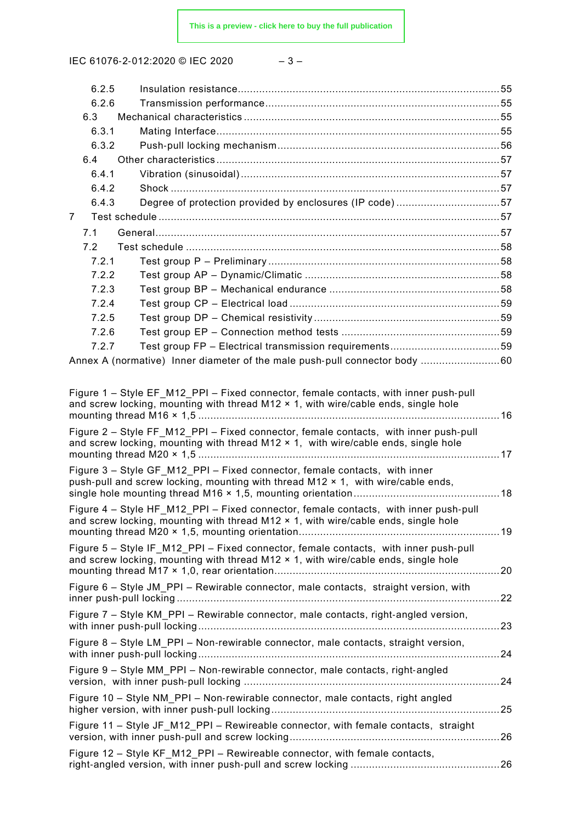IEC 61076-2-012:2020 © IEC 2020

|  | ×<br>۰. |  |
|--|---------|--|
|--|---------|--|

| 6.2.5 |                                                                                                                                                                                                                                                                                                                                                                  |  |
|-------|------------------------------------------------------------------------------------------------------------------------------------------------------------------------------------------------------------------------------------------------------------------------------------------------------------------------------------------------------------------|--|
| 6.2.6 |                                                                                                                                                                                                                                                                                                                                                                  |  |
| 6.3   |                                                                                                                                                                                                                                                                                                                                                                  |  |
| 6.3.1 |                                                                                                                                                                                                                                                                                                                                                                  |  |
| 6.3.2 |                                                                                                                                                                                                                                                                                                                                                                  |  |
| 6.4   |                                                                                                                                                                                                                                                                                                                                                                  |  |
| 6.4.1 |                                                                                                                                                                                                                                                                                                                                                                  |  |
| 6.4.2 |                                                                                                                                                                                                                                                                                                                                                                  |  |
| 6.4.3 | Degree of protection provided by enclosures (IP code)57                                                                                                                                                                                                                                                                                                          |  |
| 7     |                                                                                                                                                                                                                                                                                                                                                                  |  |
| 7.1   |                                                                                                                                                                                                                                                                                                                                                                  |  |
| 7.2   |                                                                                                                                                                                                                                                                                                                                                                  |  |
| 7.2.1 |                                                                                                                                                                                                                                                                                                                                                                  |  |
| 7.2.2 |                                                                                                                                                                                                                                                                                                                                                                  |  |
| 7.2.3 |                                                                                                                                                                                                                                                                                                                                                                  |  |
| 7.2.4 |                                                                                                                                                                                                                                                                                                                                                                  |  |
| 7.2.5 |                                                                                                                                                                                                                                                                                                                                                                  |  |
| 7.2.6 |                                                                                                                                                                                                                                                                                                                                                                  |  |
| 7.2.7 |                                                                                                                                                                                                                                                                                                                                                                  |  |
|       | Annex A (normative) Inner diameter of the male push-pull connector body  60                                                                                                                                                                                                                                                                                      |  |
|       | Figure 1 – Style EF M12 PPI – Fixed connector, female contacts, with inner push-pull<br>and screw locking, mounting with thread M12 x 1, with wire/cable ends, single hole<br>Figure 2 – Style FF M12 PPI – Fixed connector, female contacts, with inner push-pull<br>and screw locking, mounting with thread $M12 \times 1$ , with wire/cable ends, single hole |  |
|       | Figure 3 - Style GF M12 PPI - Fixed connector, female contacts, with inner<br>push-pull and screw locking, mounting with thread M12 × 1, with wire/cable ends,                                                                                                                                                                                                   |  |
|       |                                                                                                                                                                                                                                                                                                                                                                  |  |
|       | Figure 4 - Style HF_M12_PPI - Fixed connector, female contacts, with inner push-pull<br>and screw locking, mounting with thread $M12 \times 1$ , with wire/cable ends, single hole                                                                                                                                                                               |  |
|       | Figure 5 - Style IF M12 PPI - Fixed connector, female contacts, with inner push-pull<br>and screw locking, mounting with thread $M12 \times 1$ , with wire/cable ends, single hole                                                                                                                                                                               |  |
|       | Figure 6 - Style JM_PPI - Rewirable connector, male contacts, straight version, with                                                                                                                                                                                                                                                                             |  |
|       | Figure 7 – Style KM_PPI – Rewirable connector, male contacts, right-angled version,                                                                                                                                                                                                                                                                              |  |
|       | Figure 8 - Style LM_PPI - Non-rewirable connector, male contacts, straight version,                                                                                                                                                                                                                                                                              |  |
|       | Figure 9 - Style MM_PPI - Non-rewirable connector, male contacts, right-angled                                                                                                                                                                                                                                                                                   |  |
|       | Figure 10 - Style NM_PPI - Non-rewirable connector, male contacts, right angled                                                                                                                                                                                                                                                                                  |  |
|       | Figure 11 - Style JF_M12_PPI - Rewireable connector, with female contacts, straight                                                                                                                                                                                                                                                                              |  |
|       | Figure 12 - Style KF_M12_PPI - Rewireable connector, with female contacts,                                                                                                                                                                                                                                                                                       |  |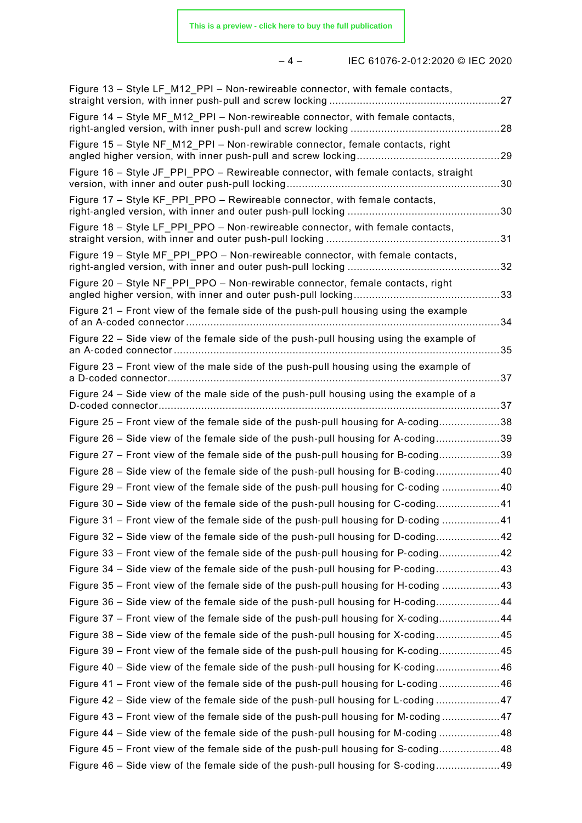# – 4 – IEC 61076‑2‑012:2020 © IEC 2020

| Figure 13 - Style LF_M12_PPI - Non-rewireable connector, with female contacts,               |  |
|----------------------------------------------------------------------------------------------|--|
| Figure 14 – Style MF M12 PPI – Non-rewireable connector, with female contacts,               |  |
| Figure 15 - Style NF M12 PPI - Non-rewirable connector, female contacts, right               |  |
| Figure 16 – Style JF PPI PPO – Rewireable connector, with female contacts, straight          |  |
| Figure 17 - Style KF PPI PPO - Rewireable connector, with female contacts,                   |  |
| Figure 18 - Style LF_PPI_PPO - Non-rewireable connector, with female contacts,               |  |
| Figure 19 - Style MF PPI PPO - Non-rewireable connector, with female contacts,               |  |
| Figure 20 - Style NF PPI PPO - Non-rewirable connector, female contacts, right               |  |
| Figure 21 – Front view of the female side of the push-pull housing using the example<br>. 34 |  |
| Figure 22 - Side view of the female side of the push-pull housing using the example of       |  |
| Figure 23 – Front view of the male side of the push-pull housing using the example of        |  |
| Figure 24 - Side view of the male side of the push-pull housing using the example of a       |  |
| Figure 25 – Front view of the female side of the push-pull housing for A-coding38            |  |
| Figure 26 – Side view of the female side of the push-pull housing for A-coding39             |  |
| Figure 27 – Front view of the female side of the push-pull housing for B-coding39            |  |
| Figure 28 – Side view of the female side of the push-pull housing for B-coding40             |  |
| Figure 29 – Front view of the female side of the push-pull housing for C-coding 40           |  |
| Figure 30 - Side view of the female side of the push-pull housing for C-coding41             |  |
| Figure 31 - Front view of the female side of the push-pull housing for D-coding 41           |  |
| Figure 32 – Side view of the female side of the push-pull housing for D-coding42             |  |
| Figure 33 – Front view of the female side of the push-pull housing for P-coding42            |  |
| Figure 34 – Side view of the female side of the push-pull housing for P-coding43             |  |
| Figure 35 – Front view of the female side of the push-pull housing for H-coding 43           |  |
| Figure 36 – Side view of the female side of the push-pull housing for H-coding44             |  |
| Figure 37 – Front view of the female side of the push-pull housing for X-coding44            |  |
| Figure 38 – Side view of the female side of the push-pull housing for X-coding45             |  |
| Figure 39 – Front view of the female side of the push-pull housing for K-coding45            |  |
| Figure 40 – Side view of the female side of the push-pull housing for K-coding46             |  |
| Figure 41 – Front view of the female side of the push-pull housing for L-coding46            |  |
| Figure 42 – Side view of the female side of the push-pull housing for L-coding 47            |  |
| Figure 43 – Front view of the female side of the push-pull housing for M-coding47            |  |
| Figure 44 – Side view of the female side of the push-pull housing for M-coding 48            |  |
| Figure 45 - Front view of the female side of the push-pull housing for S-coding48            |  |
| Figure 46 – Side view of the female side of the push-pull housing for S-coding49             |  |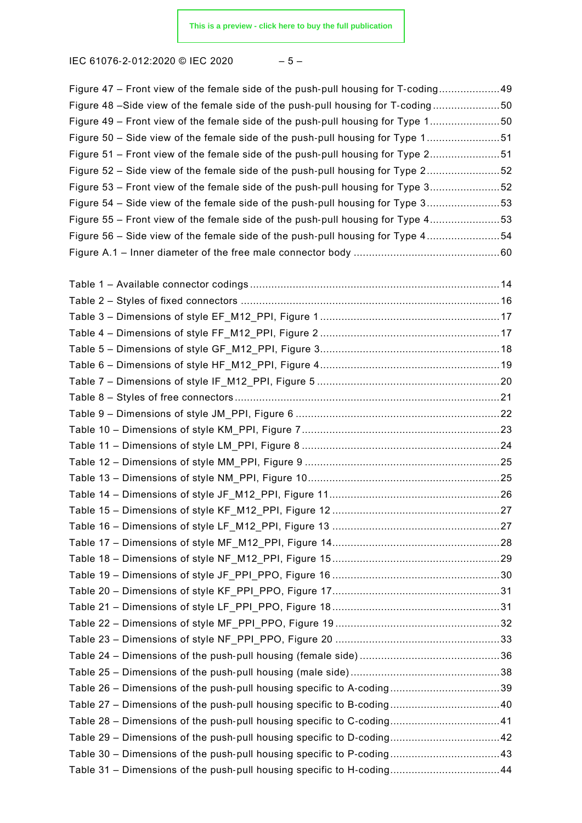IEC 61076‑2‑012:2020 © IEC 2020 – 5 –

| Figure 47 – Front view of the female side of the push-pull housing for T-coding49 |  |
|-----------------------------------------------------------------------------------|--|
| Figure 48 -Side view of the female side of the push-pull housing for T-coding50   |  |
| Figure 49 – Front view of the female side of the push-pull housing for Type 150   |  |
| Figure 50 - Side view of the female side of the push-pull housing for Type 151    |  |
| Figure 51 – Front view of the female side of the push-pull housing for Type 251   |  |
| Figure 52 – Side view of the female side of the push-pull housing for Type 252    |  |
| Figure 53 - Front view of the female side of the push-pull housing for Type 352   |  |
| Figure 54 – Side view of the female side of the push-pull housing for Type 353    |  |
| Figure 55 – Front view of the female side of the push-pull housing for Type 453   |  |
| Figure 56 – Side view of the female side of the push-pull housing for Type 454    |  |
|                                                                                   |  |
|                                                                                   |  |
|                                                                                   |  |
|                                                                                   |  |
|                                                                                   |  |
|                                                                                   |  |
|                                                                                   |  |
|                                                                                   |  |
|                                                                                   |  |
|                                                                                   |  |
|                                                                                   |  |
|                                                                                   |  |
|                                                                                   |  |
|                                                                                   |  |
|                                                                                   |  |
|                                                                                   |  |
|                                                                                   |  |
|                                                                                   |  |
|                                                                                   |  |
|                                                                                   |  |
|                                                                                   |  |
|                                                                                   |  |
|                                                                                   |  |
|                                                                                   |  |
|                                                                                   |  |
|                                                                                   |  |
|                                                                                   |  |
| Table 26 - Dimensions of the push-pull housing specific to A-coding39             |  |
| Table 27 - Dimensions of the push-pull housing specific to B-coding 40            |  |
| Table 28 - Dimensions of the push-pull housing specific to C-coding41             |  |
| Table 29 - Dimensions of the push-pull housing specific to D-coding 42            |  |
| Table 30 - Dimensions of the push-pull housing specific to P-coding 43            |  |
| Table 31 - Dimensions of the push-pull housing specific to H-coding44             |  |
|                                                                                   |  |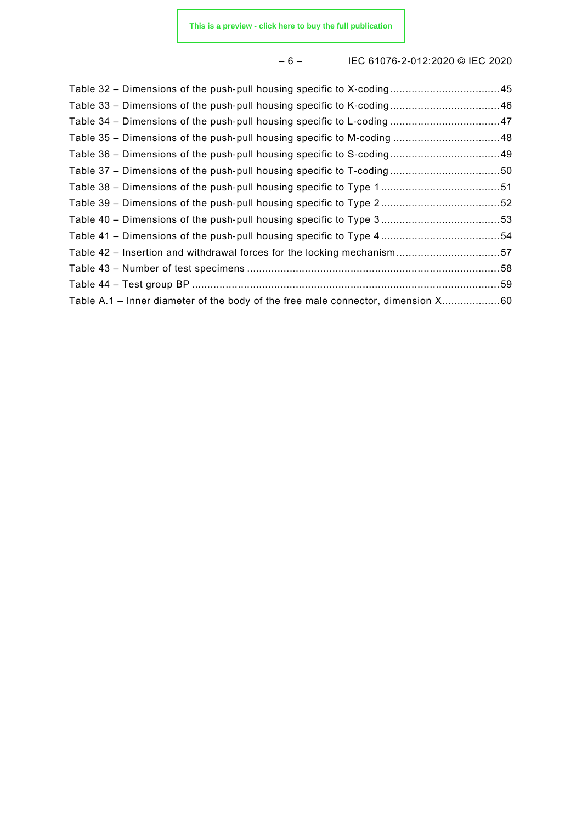# – 6 – IEC 61076‑2‑012:2020 © IEC 2020

| Table 32 – Dimensions of the push-pull housing specific to X-coding45            |  |
|----------------------------------------------------------------------------------|--|
| Table 33 – Dimensions of the push-pull housing specific to K-coding46            |  |
| Table 34 – Dimensions of the push-pull housing specific to L-coding 47           |  |
| Table 35 – Dimensions of the push-pull housing specific to M-coding  48          |  |
| Table 36 - Dimensions of the push-pull housing specific to S-coding 49           |  |
| Table 37 – Dimensions of the push-pull housing specific to T-coding50            |  |
|                                                                                  |  |
|                                                                                  |  |
|                                                                                  |  |
|                                                                                  |  |
| Table 42 – Insertion and withdrawal forces for the locking mechanism57           |  |
|                                                                                  |  |
|                                                                                  |  |
| Table A.1 – Inner diameter of the body of the free male connector, dimension X60 |  |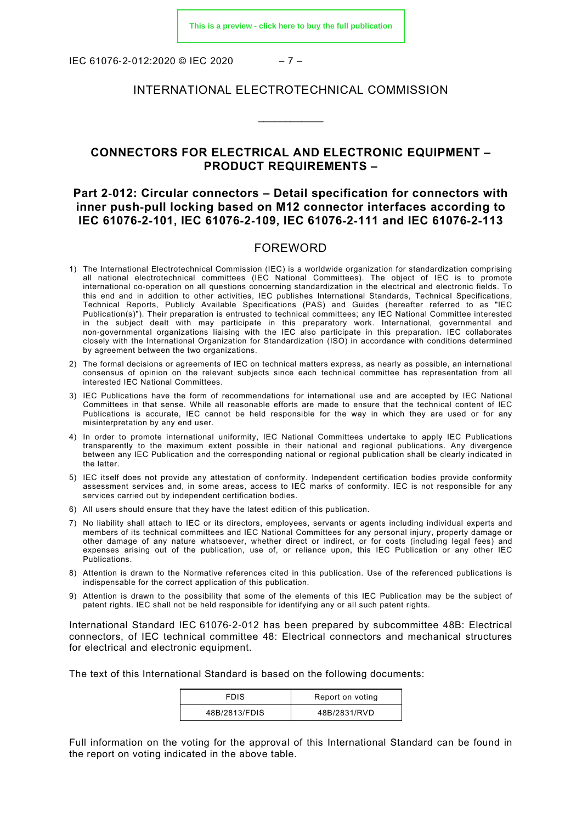IEC 61076‑2‑012:2020 © IEC 2020 – 7 –

### INTERNATIONAL ELECTROTECHNICAL COMMISSION

\_\_\_\_\_\_\_\_\_\_\_\_

# **CONNECTORS FOR ELECTRICAL AND ELECTRONIC EQUIPMENT – PRODUCT REQUIREMENTS –**

# **Part 2**‑**012: Circular connectors – Detail specification for connectors with inner push**‑**pull locking based on M12 connector interfaces according to IEC 61076**‑**2**‑**101, IEC 61076**‑**2**‑**109, IEC 61076**‑**2**‑**111 and IEC 61076**‑**2**‑**113**

#### FOREWORD

- <span id="page-6-0"></span>1) The International Electrotechnical Commission (IEC) is a worldwide organization for standardization comprising all national electrotechnical committees (IEC National Committees). The object of IEC is to promote international co-operation on all questions concerning standardization in the electrical and electronic fields. To this end and in addition to other activities, IEC publishes International Standards, Technical Specifications, Technical Reports, Publicly Available Specifications (PAS) and Guides (hereafter referred to as "IEC Publication(s)"). Their preparation is entrusted to technical committees; any IEC National Committee interested in the subject dealt with may participate in this preparatory work. International, governmental and non‑governmental organizations liaising with the IEC also participate in this preparation. IEC collaborates closely with the International Organization for Standardization (ISO) in accordance with conditions determined by agreement between the two organizations.
- 2) The formal decisions or agreements of IEC on technical matters express, as nearly as possible, an international consensus of opinion on the relevant subjects since each technical committee has representation from all interested IEC National Committees.
- 3) IEC Publications have the form of recommendations for international use and are accepted by IEC National Committees in that sense. While all reasonable efforts are made to ensure that the technical content of IEC Publications is accurate, IEC cannot be held responsible for the way in which they are used or for any misinterpretation by any end user.
- 4) In order to promote international uniformity, IEC National Committees undertake to apply IEC Publications transparently to the maximum extent possible in their national and regional publications. Any divergence between any IEC Publication and the corresponding national or regional publication shall be clearly indicated in the latter.
- 5) IEC itself does not provide any attestation of conformity. Independent certification bodies provide conformity assessment services and, in some areas, access to IEC marks of conformity. IEC is not responsible for any services carried out by independent certification bodies.
- 6) All users should ensure that they have the latest edition of this publication.
- 7) No liability shall attach to IEC or its directors, employees, servants or agents including individual experts and members of its technical committees and IEC National Committees for any personal injury, property damage or other damage of any nature whatsoever, whether direct or indirect, or for costs (including legal fees) and expenses arising out of the publication, use of, or reliance upon, this IEC Publication or any other IEC Publications.
- 8) Attention is drawn to the Normative references cited in this publication. Use of the referenced publications is indispensable for the correct application of this publication.
- 9) Attention is drawn to the possibility that some of the elements of this IEC Publication may be the subject of patent rights. IEC shall not be held responsible for identifying any or all such patent rights.

International Standard IEC 61076‑2‑012 has been prepared by subcommittee 48B: Electrical connectors, of IEC technical committee 48: Electrical connectors and mechanical structures for electrical and electronic equipment.

The text of this International Standard is based on the following documents:

| FDIS          | Report on voting |
|---------------|------------------|
| 48B/2813/FDIS | 48B/2831/RVD     |

Full information on the voting for the approval of this International Standard can be found in the report on voting indicated in the above table.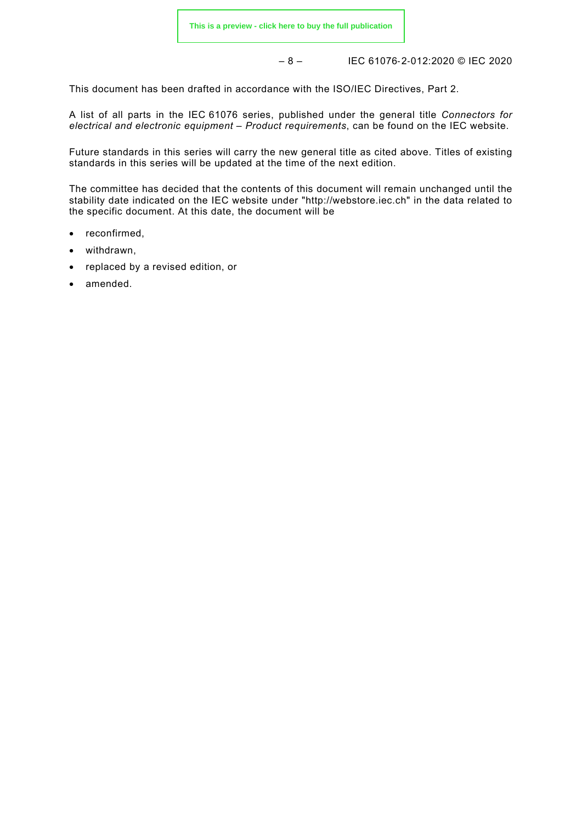– 8 – IEC 61076‑2‑012:2020 © IEC 2020

This document has been drafted in accordance with the ISO/IEC Directives, Part 2.

A list of all parts in the IEC 61076 series, published under the general title *Connectors for electrical and electronic equipment – Product requirements*, can be found on the IEC website.

Future standards in this series will carry the new general title as cited above. Titles of existing standards in this series will be updated at the time of the next edition.

The committee has decided that the contents of this document will remain unchanged until the stability date indicated on the IEC website under "http://webstore.iec.ch" in the data related to the specific document. At this date, the document will be

- reconfirmed,
- withdrawn,
- replaced by a revised edition, or
- amended.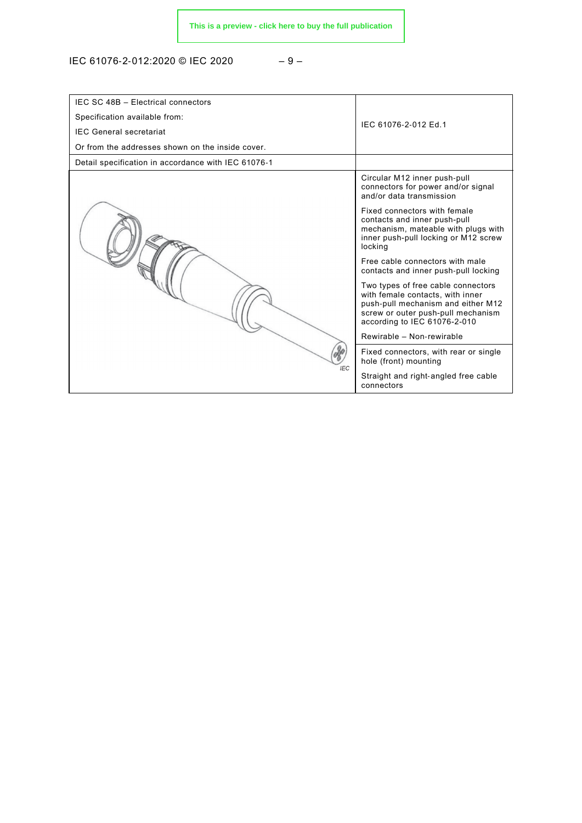IEC 61076-2-012:2020 © IEC 2020 − 9 –

| IEC SC 48B - Electrical connectors                  |                                                                                                                                                                                    |
|-----------------------------------------------------|------------------------------------------------------------------------------------------------------------------------------------------------------------------------------------|
| Specification available from:                       | IEC 61076-2-012 Ed.1                                                                                                                                                               |
| <b>IEC General secretariat</b>                      |                                                                                                                                                                                    |
| Or from the addresses shown on the inside cover.    |                                                                                                                                                                                    |
| Detail specification in accordance with IEC 61076-1 |                                                                                                                                                                                    |
|                                                     | Circular M12 inner push-pull<br>connectors for power and/or signal<br>and/or data transmission                                                                                     |
|                                                     | Fixed connectors with female<br>contacts and inner push-pull<br>mechanism, mateable with plugs with<br>inner push-pull locking or M12 screw<br>locking                             |
|                                                     | Free cable connectors with male<br>contacts and inner push-pull locking                                                                                                            |
|                                                     | Two types of free cable connectors<br>with female contacts, with inner<br>push-pull mechanism and either M12<br>screw or outer push-pull mechanism<br>according to IEC 61076-2-010 |
|                                                     | Rewirable - Non-rewirable                                                                                                                                                          |
| <b>IEC</b>                                          | Fixed connectors, with rear or single<br>hole (front) mounting                                                                                                                     |
|                                                     | Straight and right-angled free cable<br>connectors                                                                                                                                 |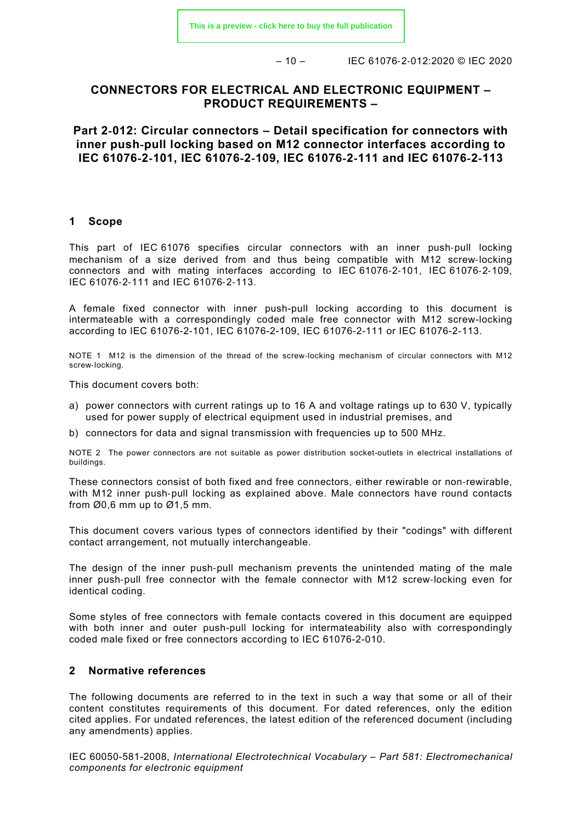$-10 -$  IEC 61076-2-012:2020 © IEC 2020

# **CONNECTORS FOR ELECTRICAL AND ELECTRONIC EQUIPMENT – PRODUCT REQUIREMENTS –**

**Part 2**‑**012: Circular connectors – Detail specification for connectors with inner push**‑**pull locking based on M12 connector interfaces according to IEC 61076**‑**2**‑**101, IEC 61076**‑**2**‑**109, IEC 61076**‑**2**‑**111 and IEC 61076**‑**2**‑**113**

#### <span id="page-9-0"></span>**1 Scope**

This part of IEC 61076 specifies circular connectors with an inner push-pull locking mechanism of a size derived from and thus being compatible with M12 screw-locking connectors and with mating interfaces according to IEC 61076‑2‑101, IEC 61076‑2‑109, IEC 61076‑2‑111 and IEC 61076‑2‑113.

A female fixed connector with inner push-pull locking according to this document is intermateable with a correspondingly coded male free connector with M12 screw-locking according to IEC 61076-2-101, IEC 61076-2-109, IEC 61076-2-111 or IEC 61076-2-113.

NOTE 1 M12 is the dimension of the thread of the screw-locking mechanism of circular connectors with M12 screw-locking.

This document covers both:

- a) power connectors with current ratings up to 16 A and voltage ratings up to 630 V, typically used for power supply of electrical equipment used in industrial premises, and
- b) connectors for data and signal transmission with frequencies up to 500 MHz.

NOTE 2 The power connectors are not suitable as power distribution socket-outlets in electrical installations of buildings.

These connectors consist of both fixed and free connectors, either rewirable or non-rewirable, with M12 inner push-pull locking as explained above. Male connectors have round contacts from  $\varnothing$ 0,6 mm up to  $\varnothing$ 1,5 mm.

This document covers various types of connectors identified by their "codings" with different contact arrangement, not mutually interchangeable.

The design of the inner push-pull mechanism prevents the unintended mating of the male inner push-pull free connector with the female connector with M12 screw-locking even for identical coding.

Some styles of free connectors with female contacts covered in this document are equipped with both inner and outer push-pull locking for intermateability also with correspondingly coded male fixed or free connectors according to IEC 61076-2-010.

#### <span id="page-9-1"></span>**2 Normative references**

The following documents are referred to in the text in such a way that some or all of their content constitutes requirements of this document. For dated references, only the edition cited applies. For undated references, the latest edition of the referenced document (including any amendments) applies.

IEC 60050-581-2008, *International Electrotechnical Vocabulary – Part 581: Electromechanical components for electronic equipment*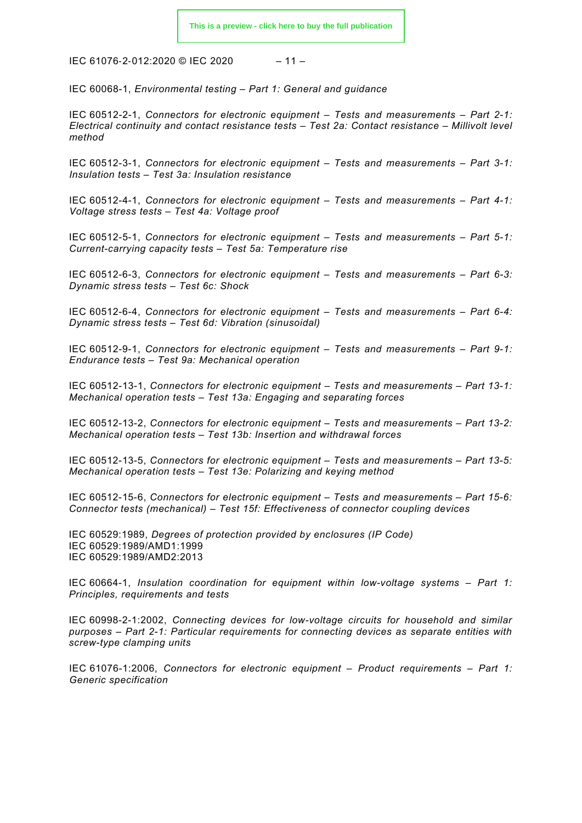IEC 61076‑2‑012:2020 © IEC 2020 – 11 –

IEC 60068-1, *Environmental testing – Part 1: General and guidance*

IEC 60512-2-1, *Connectors for electronic equipment – Tests and measurements – Part 2-1: Electrical continuity and contact resistance tests – Test 2a: Contact resistance – Millivolt level method*

IEC 60512-3-1, *Connectors for electronic equipment – Tests and measurements – Part 3-1: Insulation tests – Test 3a: Insulation resistance*

IEC 60512-4-1, *Connectors for electronic equipment – Tests and measurements – Part 4-1: Voltage stress tests – Test 4a: Voltage proof*

IEC 60512-5-1, *Connectors for electronic equipment – Tests and measurements – Part 5-1: Current-carrying capacity tests – Test 5a: Temperature rise*

IEC 60512-6-3, *Connectors for electronic equipment – Tests and measurements – Part 6-3: Dynamic stress tests – Test 6c: Shock*

IEC 60512-6-4, *Connectors for electronic equipment – Tests and measurements – Part 6-4: Dynamic stress tests – Test 6d: Vibration (sinusoidal)*

IEC 60512-9-1, *Connectors for electronic equipment – Tests and measurements – Part 9-1: Endurance tests – Test 9a: Mechanical operation*

IEC 60512-13-1, *Connectors for electronic equipment – Tests and measurements – Part 13-1: Mechanical operation tests – Test 13a: Engaging and separating forces*

IEC 60512-13-2, *Connectors for electronic equipment – Tests and measurements – Part 13-2: Mechanical operation tests – Test 13b: Insertion and withdrawal forces*

IEC 60512-13-5, *Connectors for electronic equipment – Tests and measurements – Part 13-5: Mechanical operation tests – Test 13e: Polarizing and keying method*

IEC 60512-15-6, *Connectors for electronic equipment – Tests and measurements – Part 15-6: Connector tests (mechanical) – Test 15f: Effectiveness of connector coupling devices*

IEC 60529:1989, *Degrees of protection provided by enclosures (IP Code)* IEC 60529:1989/AMD1:1999 IEC 60529:1989/AMD2:2013

IEC 60664-1, *Insulation coordination for equipment within low-voltage systems – Part 1: Principles, requirements and tests*

IEC 60998-2-1:2002, *Connecting devices for low-voltage circuits for household and similar purposes – Part 2-1: Particular requirements for connecting devices as separate entities with screw-type clamping units*

IEC 61076-1:2006, *Connectors for electronic equipment – Product requirements – Part 1: Generic specification*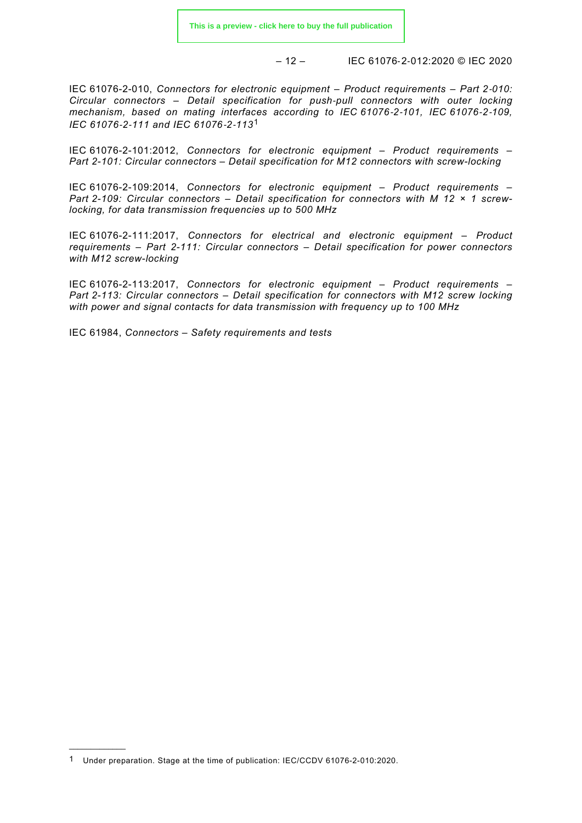– 12 – IEC 61076‑2‑012:2020 © IEC 2020

IEC 61076-2-010, *Connectors for electronic equipment – Product requirements – Part 2*‑*010: Circular connectors – Detail specification for push*‑*pull connectors with outer locking mechanism, based on mating interfaces according to IEC 61076*‑*2*‑*101, IEC 61076*‑*2*‑*109, IEC 61076*‑*2*‑*111 and IEC 61076*‑*2*‑*113*[1](#page-11-4)

IEC 61076-2-101:2012, *Connectors for electronic equipment – Product requirements – Part 2-101: Circular connectors – Detail specification for M12 connectors with screw-locking*

IEC 61076-2-109:2014, *Connectors for electronic equipment – Product requirements – Part 2-109: Circular connectors – Detail specification for connectors with M 12 × 1 screwlocking, for data transmission frequencies up to 500 MHz*

IEC 61076-2-111:2017, *Connectors for electrical and electronic equipment – Product requirements – Part 2-111: Circular connectors – Detail specification for power connectors with M12 screw-locking*

IEC 61076-2-113:2017, *Connectors for electronic equipment – Product requirements – Part 2-113: Circular connectors – Detail specification for connectors with M12 screw locking with power and signal contacts for data transmission with frequency up to 100 MHz*

<span id="page-11-0"></span>IEC 61984, *Connectors – Safety requirements and tests*

<span id="page-11-3"></span><span id="page-11-2"></span><span id="page-11-1"></span> $\overline{\phantom{a}}$ 

<span id="page-11-4"></span><sup>1</sup> Under preparation. Stage at the time of publication: IEC/CCDV 61076-2-010:2020.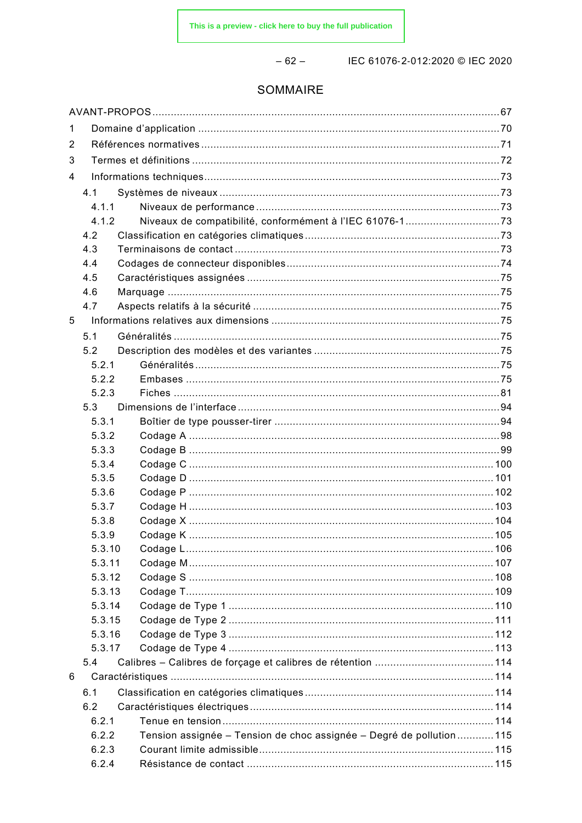$-62-$ 

IEC 61076-2-012:2020 © IEC 2020

# SOMMAIRE

| 1 |        |                                                                     |  |
|---|--------|---------------------------------------------------------------------|--|
| 2 |        |                                                                     |  |
| 3 |        |                                                                     |  |
| 4 |        |                                                                     |  |
|   | 4.1    |                                                                     |  |
|   | 4.1.1  |                                                                     |  |
|   | 4.1.2  |                                                                     |  |
|   | 4.2    |                                                                     |  |
|   | 4.3    |                                                                     |  |
|   | 4.4    |                                                                     |  |
|   | 4.5    |                                                                     |  |
|   | 4.6    |                                                                     |  |
|   | 4.7    |                                                                     |  |
| 5 |        |                                                                     |  |
|   | 5.1    |                                                                     |  |
|   | 5.2    |                                                                     |  |
|   | 5.2.1  |                                                                     |  |
|   | 5.2.2  |                                                                     |  |
|   | 5.2.3  |                                                                     |  |
|   | 5.3    |                                                                     |  |
|   | 5.3.1  |                                                                     |  |
|   | 5.3.2  |                                                                     |  |
|   | 5.3.3  |                                                                     |  |
|   | 5.3.4  |                                                                     |  |
|   | 5.3.5  |                                                                     |  |
|   | 5.3.6  |                                                                     |  |
|   | 5.3.7  |                                                                     |  |
|   | 5.3.8  |                                                                     |  |
|   | 5.3.9  |                                                                     |  |
|   | 5.3.10 |                                                                     |  |
|   | 5.3.11 |                                                                     |  |
|   | 5.3.12 |                                                                     |  |
|   | 5.3.13 |                                                                     |  |
|   | 5.3.14 |                                                                     |  |
|   | 5.3.15 |                                                                     |  |
|   | 5.3.16 |                                                                     |  |
|   | 5.3.17 |                                                                     |  |
|   | 5.4    |                                                                     |  |
| 6 |        |                                                                     |  |
|   | 6.1    |                                                                     |  |
|   | 6.2    |                                                                     |  |
|   | 6.2.1  |                                                                     |  |
|   | 6.2.2  | Tension assignée - Tension de choc assignée - Degré de pollution115 |  |
|   | 6.2.3  |                                                                     |  |
|   | 6.2.4  |                                                                     |  |
|   |        |                                                                     |  |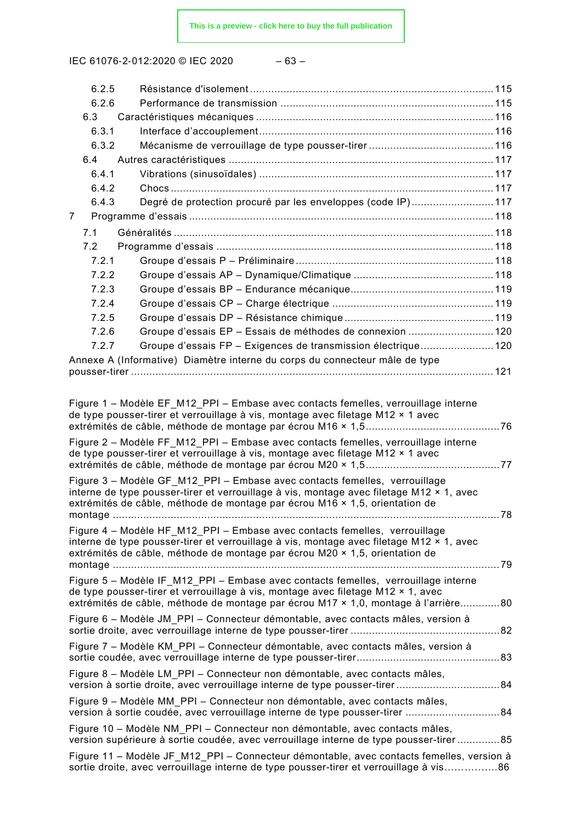IEC 61076-2-012:2020 © IEC 2020

| ×<br>۰.<br>۰. |  |
|---------------|--|
|---------------|--|

| 6.2.5 |                                                                                                                                                                        |  |
|-------|------------------------------------------------------------------------------------------------------------------------------------------------------------------------|--|
| 6.2.6 |                                                                                                                                                                        |  |
| 6.3   |                                                                                                                                                                        |  |
| 6.3.1 |                                                                                                                                                                        |  |
| 6.3.2 |                                                                                                                                                                        |  |
| 6.4   |                                                                                                                                                                        |  |
| 6.4.1 |                                                                                                                                                                        |  |
| 6.4.2 |                                                                                                                                                                        |  |
| 6.4.3 | Degré de protection procuré par les enveloppes (code IP)117                                                                                                            |  |
| 7     |                                                                                                                                                                        |  |
| 7.1   |                                                                                                                                                                        |  |
| 7.2   |                                                                                                                                                                        |  |
| 7.2.1 |                                                                                                                                                                        |  |
| 7.2.2 |                                                                                                                                                                        |  |
| 7.2.3 |                                                                                                                                                                        |  |
| 7.2.4 |                                                                                                                                                                        |  |
| 7.2.5 |                                                                                                                                                                        |  |
| 7.2.6 | Groupe d'essais EP - Essais de méthodes de connexion  120                                                                                                              |  |
| 7.2.7 | Groupe d'essais FP - Exigences de transmission électrique 120                                                                                                          |  |
|       | Annexe A (Informative) Diamètre interne du corps du connecteur mâle de type                                                                                            |  |
|       |                                                                                                                                                                        |  |
|       |                                                                                                                                                                        |  |
|       | Figure 1 – Modèle EF M12 PPI – Embase avec contacts femelles, verrouillage interne                                                                                     |  |
|       | de type pousser-tirer et verrouillage à vis, montage avec filetage M12 × 1 avec                                                                                        |  |
|       | Figure 2 – Modèle FF M12 PPI – Embase avec contacts femelles, verrouillage interne                                                                                     |  |
|       | de type pousser-tirer et verrouillage à vis, montage avec filetage M12 × 1 avec                                                                                        |  |
|       |                                                                                                                                                                        |  |
|       | Figure 3 - Modèle GF_M12_PPI - Embase avec contacts femelles, verrouillage                                                                                             |  |
|       | interne de type pousser-tirer et verrouillage à vis, montage avec filetage M12 × 1, avec                                                                               |  |
|       | extrémités de câble, méthode de montage par écrou M16 × 1,5, orientation de                                                                                            |  |
|       |                                                                                                                                                                        |  |
|       | Figure 4 - Modèle HF M12 PPI - Embase avec contacts femelles, verrouillage<br>interne de type pousser-tirer et verrouillage à vis, montage avec filetage M12 × 1, avec |  |
|       | extrémités de câble, méthode de montage par écrou M20 × 1,5, orientation de                                                                                            |  |
|       |                                                                                                                                                                        |  |
|       | Figure 5 - Modèle IF_M12_PPI - Embase avec contacts femelles, verrouillage interne                                                                                     |  |
|       | de type pousser-tirer et verrouillage à vis, montage avec filetage M12 × 1, avec                                                                                       |  |
|       | extrémités de câble, méthode de montage par écrou M17 × 1,0, montage à l'arrière80                                                                                     |  |
|       | Figure 6 – Modèle JM_PPI – Connecteur démontable, avec contacts mâles, version à                                                                                       |  |
|       |                                                                                                                                                                        |  |
|       | Figure 7 - Modèle KM_PPI - Connecteur démontable, avec contacts mâles, version à                                                                                       |  |
|       |                                                                                                                                                                        |  |
|       | Figure 8 – Modèle LM_PPI – Connecteur non démontable, avec contacts mâles,                                                                                             |  |
|       | Figure 9 - Modèle MM_PPI - Connecteur non démontable, avec contacts mâles,                                                                                             |  |
|       | version à sortie coudée, avec verrouillage interne de type pousser-tirer 84                                                                                            |  |
|       | Figure 10 - Modèle NM_PPI - Connecteur non démontable, avec contacts mâles,                                                                                            |  |
|       | version supérieure à sortie coudée, avec verrouillage interne de type pousser-tirer85                                                                                  |  |
|       | Figure 11 – Modèle JF_M12_PPI – Connecteur démontable, avec contacts femelles, version à                                                                               |  |
|       | sortie droite, avec verrouillage interne de type pousser-tirer et verrouillage à vis86                                                                                 |  |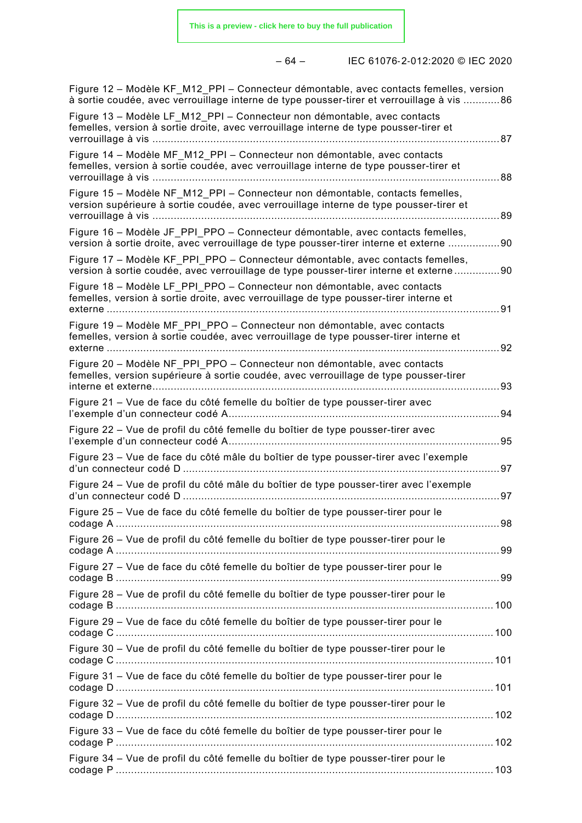|--|

| – 64 – | IEC 61076-2-012:2020 © IEC 2020 |  |
|--------|---------------------------------|--|
|        |                                 |  |

| Figure 12 – Modèle KF M12 PPI – Connecteur démontable, avec contacts femelles, version<br>à sortie coudée, avec verrouillage interne de type pousser-tirer et verrouillage à vis 86 |      |
|-------------------------------------------------------------------------------------------------------------------------------------------------------------------------------------|------|
| Figure 13 - Modèle LF M12 PPI - Connecteur non démontable, avec contacts<br>femelles, version à sortie droite, avec verrouillage interne de type pousser-tirer et                   | . 87 |
| Figure 14 - Modèle MF_M12_PPI - Connecteur non démontable, avec contacts<br>femelles, version à sortie coudée, avec verrouillage interne de type pousser-tirer et                   |      |
| Figure 15 - Modèle NF_M12_PPI - Connecteur non démontable, contacts femelles,<br>version supérieure à sortie coudée, avec verrouillage interne de type pousser-tirer et             | .89  |
| Figure 16 - Modèle JF PPI PPO - Connecteur démontable, avec contacts femelles,<br>version à sortie droite, avec verrouillage de type pousser-tirer interne et externe 90            |      |
| Figure 17 - Modèle KF_PPI_PPO - Connecteur démontable, avec contacts femelles,<br>version à sortie coudée, avec verrouillage de type pousser-tirer interne et externe 90            |      |
| Figure 18 - Modèle LF_PPI_PPO - Connecteur non démontable, avec contacts<br>femelles, version à sortie droite, avec verrouillage de type pousser-tirer interne et                   | 91   |
| Figure 19 - Modèle MF_PPI_PPO - Connecteur non démontable, avec contacts<br>femelles, version à sortie coudée, avec verrouillage de type pousser-tirer interne et<br>externe        | 92   |
| Figure 20 - Modèle NF PPI PPO - Connecteur non démontable, avec contacts<br>femelles, version supérieure à sortie coudée, avec verrouillage de type pousser-tirer                   | 93   |
| Figure 21 - Vue de face du côté femelle du boîtier de type pousser-tirer avec<br>. 94                                                                                               |      |
| Figure 22 – Vue de profil du côté femelle du boîtier de type pousser-tirer avec                                                                                                     | . 95 |
| Figure 23 - Vue de face du côté mâle du boîtier de type pousser-tirer avec l'exemple                                                                                                |      |
| Figure 24 – Vue de profil du côté mâle du boîtier de type pousser-tirer avec l'exemple<br>97                                                                                        |      |
| Figure 25 – Vue de face du côté femelle du boîtier de type pousser-tirer pour le                                                                                                    |      |
| Figure 26 - Vue de profil du côté femelle du boîtier de type pousser-tirer pour le                                                                                                  |      |
| Figure 27 - Vue de face du côté femelle du boîtier de type pousser-tirer pour le                                                                                                    |      |
| Figure 28 - Vue de profil du côté femelle du boîtier de type pousser-tirer pour le                                                                                                  |      |
| Figure 29 - Vue de face du côté femelle du boîtier de type pousser-tirer pour le                                                                                                    |      |
| Figure 30 – Vue de profil du côté femelle du boîtier de type pousser-tirer pour le                                                                                                  |      |
| Figure 31 - Vue de face du côté femelle du boîtier de type pousser-tirer pour le                                                                                                    |      |
| Figure 32 – Vue de profil du côté femelle du boîtier de type pousser-tirer pour le                                                                                                  |      |
| Figure 33 - Vue de face du côté femelle du boîtier de type pousser-tirer pour le                                                                                                    |      |
| Figure 34 - Vue de profil du côté femelle du boîtier de type pousser-tirer pour le                                                                                                  |      |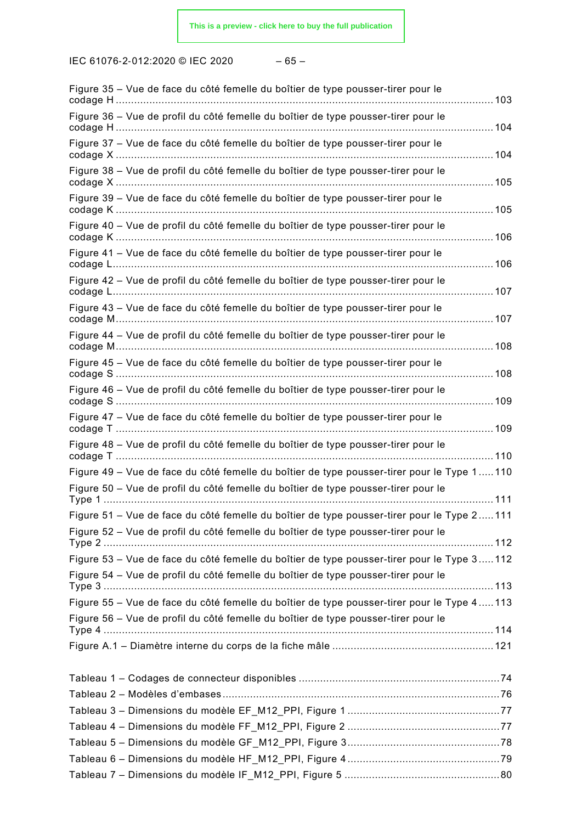IEC 61076‑2‑012:2020 © IEC 2020 – 65 –

| Figure 35 - Vue de face du côté femelle du boîtier de type pousser-tirer pour le                                                                                                 |  |
|----------------------------------------------------------------------------------------------------------------------------------------------------------------------------------|--|
| Figure 36 - Vue de profil du côté femelle du boîtier de type pousser-tirer pour le                                                                                               |  |
| Figure 37 - Vue de face du côté femelle du boîtier de type pousser-tirer pour le                                                                                                 |  |
| Figure 38 – Vue de profil du côté femelle du boîtier de type pousser-tirer pour le                                                                                               |  |
| Figure 39 - Vue de face du côté femelle du boîtier de type pousser-tirer pour le                                                                                                 |  |
| Figure 40 - Vue de profil du côté femelle du boîtier de type pousser-tirer pour le                                                                                               |  |
| Figure 41 - Vue de face du côté femelle du boîtier de type pousser-tirer pour le                                                                                                 |  |
| Figure 42 - Vue de profil du côté femelle du boîtier de type pousser-tirer pour le                                                                                               |  |
| Figure 43 - Vue de face du côté femelle du boîtier de type pousser-tirer pour le                                                                                                 |  |
| Figure 44 - Vue de profil du côté femelle du boîtier de type pousser-tirer pour le                                                                                               |  |
| Figure 45 - Vue de face du côté femelle du boîtier de type pousser-tirer pour le                                                                                                 |  |
| Figure 46 - Vue de profil du côté femelle du boîtier de type pousser-tirer pour le                                                                                               |  |
| Figure 47 - Vue de face du côté femelle du boîtier de type pousser-tirer pour le                                                                                                 |  |
| Figure 48 - Vue de profil du côté femelle du boîtier de type pousser-tirer pour le                                                                                               |  |
| Figure 49 – Vue de face du côté femelle du boîtier de type pousser-tirer pour le Type 1110<br>Figure 50 - Vue de profil du côté femelle du boîtier de type pousser-tirer pour le |  |
|                                                                                                                                                                                  |  |
| Figure 51 - Vue de face du côté femelle du boîtier de type pousser-tirer pour le Type 2111<br>Figure 52 – Vue de profil du côté femelle du boîtier de type pousser-tirer pour le |  |
| Figure 53 - Vue de face du côté femelle du boîtier de type pousser-tirer pour le Type 3112                                                                                       |  |
| Figure 54 – Vue de profil du côté femelle du boîtier de type pousser-tirer pour le                                                                                               |  |
| Figure 55 - Vue de face du côté femelle du boîtier de type pousser-tirer pour le Type 4113<br>Figure 56 - Vue de profil du côté femelle du boîtier de type pousser-tirer pour le |  |
|                                                                                                                                                                                  |  |
|                                                                                                                                                                                  |  |
|                                                                                                                                                                                  |  |
|                                                                                                                                                                                  |  |
|                                                                                                                                                                                  |  |
|                                                                                                                                                                                  |  |
|                                                                                                                                                                                  |  |
|                                                                                                                                                                                  |  |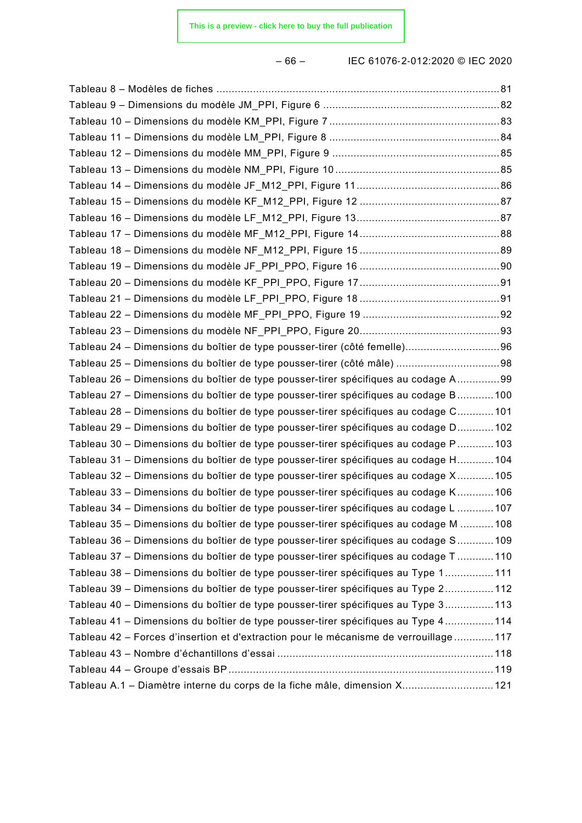– 66 – IEC 61076‑2‑012:2020 © IEC 2020

| Tableau 24 - Dimensions du boîtier de type pousser-tirer (côté femelle) 96             |  |
|----------------------------------------------------------------------------------------|--|
| Tableau 25 - Dimensions du boîtier de type pousser-tirer (côté mâle) 98                |  |
| Tableau 26 – Dimensions du boîtier de type pousser-tirer spécifiques au codage A99     |  |
| Tableau 27 - Dimensions du boîtier de type pousser-tirer spécifiques au codage B 100   |  |
| Tableau 28 – Dimensions du boîtier de type pousser-tirer spécifiques au codage C 101   |  |
| Tableau 29 – Dimensions du boîtier de type pousser-tirer spécifiques au codage D 102   |  |
| Tableau 30 – Dimensions du boîtier de type pousser-tirer spécifiques au codage P 103   |  |
| Tableau 31 - Dimensions du boîtier de type pousser-tirer spécifiques au codage H 104   |  |
| Tableau 32 – Dimensions du boîtier de type pousser-tirer spécifiques au codage X 105   |  |
| Tableau 33 - Dimensions du boîtier de type pousser-tirer spécifiques au codage K106    |  |
| Tableau 34 – Dimensions du boîtier de type pousser-tirer spécifiques au codage L  107  |  |
| Tableau 35 – Dimensions du boîtier de type pousser-tirer spécifiques au codage M  108  |  |
| Tableau 36 – Dimensions du boîtier de type pousser-tirer spécifiques au codage S109    |  |
| Tableau 37 – Dimensions du boîtier de type pousser-tirer spécifiques au codage T110    |  |
| Tableau 38 – Dimensions du boîtier de type pousser-tirer spécifiques au Type 1111      |  |
| Tableau 39 – Dimensions du boîtier de type pousser-tirer spécifiques au Type 2112      |  |
| Tableau 40 – Dimensions du boîtier de type pousser-tirer spécifiques au Type 3113      |  |
| Tableau 41 – Dimensions du boîtier de type pousser-tirer spécifiques au Type 4  114    |  |
| Tableau 42 - Forces d'insertion et d'extraction pour le mécanisme de verrouillage  117 |  |
|                                                                                        |  |
|                                                                                        |  |
| Tableau A.1 - Diamètre interne du corps de la fiche mâle, dimension X 121              |  |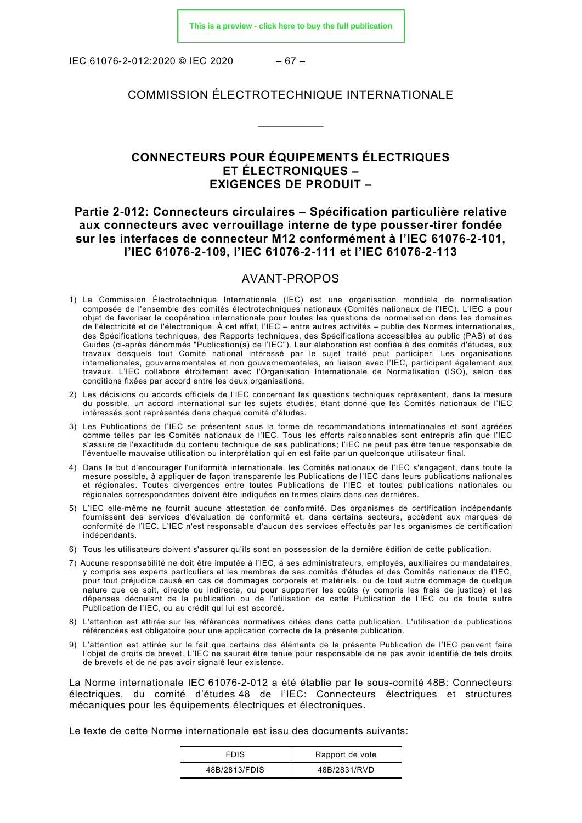IEC 61076‑2‑012:2020 © IEC 2020 – 67 –

# COMMISSION ÉLECTROTECHNIQUE INTERNATIONALE

\_\_\_\_\_\_\_\_\_\_\_\_

# **CONNECTEURS POUR ÉQUIPEMENTS ÉLECTRIQUES ET ÉLECTRONIQUES – EXIGENCES DE PRODUIT –**

# **Partie 2-012: Connecteurs circulaires – Spécification particulière relative aux connecteurs avec verrouillage interne de type pousser-tirer fondée sur les interfaces de connecteur M12 conformément à l'IEC 61076-2-101, l'IEC 61076-2-109, l'IEC 61076-2-111 et l'IEC 61076-2-113**

#### AVANT-PROPOS

- <span id="page-17-0"></span>1) La Commission Électrotechnique Internationale (IEC) est une organisation mondiale de normalisation composée de l'ensemble des comités électrotechniques nationaux (Comités nationaux de l'IEC). L'IEC a pour objet de favoriser la coopération internationale pour toutes les questions de normalisation dans les domaines de l'électricité et de l'électronique. À cet effet, l'IEC – entre autres activités – publie des Normes internationales, des Spécifications techniques, des Rapports techniques, des Spécifications accessibles au public (PAS) et des Guides (ci-après dénommés "Publication(s) de l'IEC"). Leur élaboration est confiée à des comités d'études, aux travaux desquels tout Comité national intéressé par le sujet traité peut participer. Les organisations internationales, gouvernementales et non gouvernementales, en liaison avec l'IEC, participent également aux travaux. L'IEC collabore étroitement avec l'Organisation Internationale de Normalisation (ISO), selon des conditions fixées par accord entre les deux organisations.
- 2) Les décisions ou accords officiels de l'IEC concernant les questions techniques représentent, dans la mesure du possible, un accord international sur les sujets étudiés, étant donné que les Comités nationaux de l'IEC intéressés sont représentés dans chaque comité d'études.
- 3) Les Publications de l'IEC se présentent sous la forme de recommandations internationales et sont agréées comme telles par les Comités nationaux de l'IEC. Tous les efforts raisonnables sont entrepris afin que l'IEC s'assure de l'exactitude du contenu technique de ses publications; l'IEC ne peut pas être tenue responsable de l'éventuelle mauvaise utilisation ou interprétation qui en est faite par un quelconque utilisateur final.
- 4) Dans le but d'encourager l'uniformité internationale, les Comités nationaux de l'IEC s'engagent, dans toute la mesure possible, à appliquer de façon transparente les Publications de l'IEC dans leurs publications nationales et régionales. Toutes divergences entre toutes Publications de l'IEC et toutes publications nationales ou régionales correspondantes doivent être indiquées en termes clairs dans ces dernières.
- 5) L'IEC elle-même ne fournit aucune attestation de conformité. Des organismes de certification indépendants fournissent des services d'évaluation de conformité et, dans certains secteurs, accèdent aux marques de conformité de l'IEC. L'IEC n'est responsable d'aucun des services effectués par les organismes de certification indépendants.
- 6) Tous les utilisateurs doivent s'assurer qu'ils sont en possession de la dernière édition de cette publication.
- 7) Aucune responsabilité ne doit être imputée à l'IEC, à ses administrateurs, employés, auxiliaires ou mandataires, y compris ses experts particuliers et les membres de ses comités d'études et des Comités nationaux de l'IEC, pour tout préjudice causé en cas de dommages corporels et matériels, ou de tout autre dommage de quelque nature que ce soit, directe ou indirecte, ou pour supporter les coûts (y compris les frais de justice) et les dépenses découlant de la publication ou de l'utilisation de cette Publication de l'IEC ou de toute autre Publication de l'IEC, ou au crédit qui lui est accordé.
- 8) L'attention est attirée sur les références normatives citées dans cette publication. L'utilisation de publications référencées est obligatoire pour une application correcte de la présente publication.
- 9) L'attention est attirée sur le fait que certains des éléments de la présente Publication de l'IEC peuvent faire l'objet de droits de brevet. L'IEC ne saurait être tenue pour responsable de ne pas avoir identifié de tels droits de brevets et de ne pas avoir signalé leur existence.

La Norme internationale IEC 61076-2-012 a été établie par le sous-comité 48B: Connecteurs électriques, du comité d'études 48 de l'IEC: Connecteurs électriques et structures mécaniques pour les équipements électriques et électroniques.

Le texte de cette Norme internationale est issu des documents suivants:

| <b>FDIS</b>   | Rapport de vote |  |
|---------------|-----------------|--|
| 48B/2813/FDIS | 48B/2831/RVD    |  |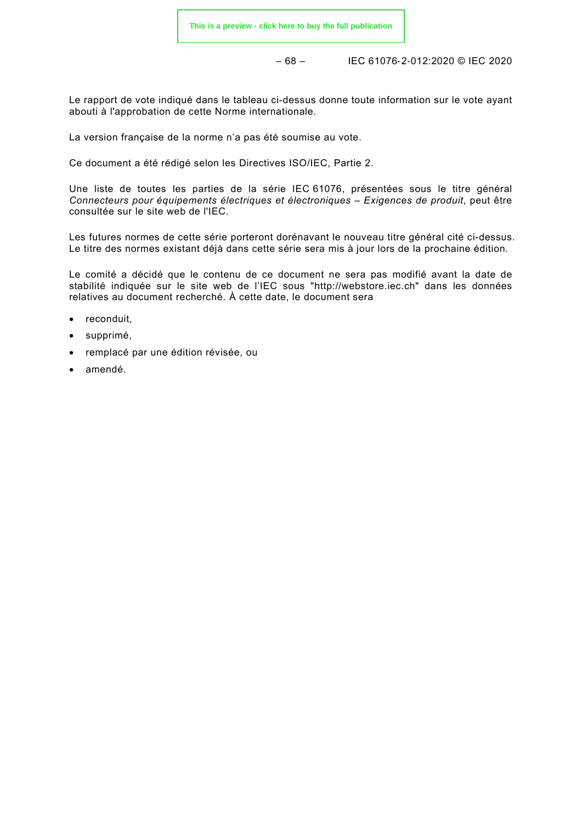– 68 – IEC 61076‑2‑012:2020 © IEC 2020

Le rapport de vote indiqué dans le tableau ci-dessus donne toute information sur le vote ayant abouti à l'approbation de cette Norme internationale.

La version française de la norme n'a pas été soumise au vote.

Ce document a été rédigé selon les Directives ISO/IEC, Partie 2.

Une liste de toutes les parties de la série IEC 61076, présentées sous le titre général *Connecteurs pour équipements électriques et électroniques – Exigences de produit*, peut être consultée sur le site web de l'IEC.

Les futures normes de cette série porteront dorénavant le nouveau titre général cité ci-dessus. Le titre des normes existant déjà dans cette série sera mis à jour lors de la prochaine édition.

Le comité a décidé que le contenu de ce document ne sera pas modifié avant la date de stabilité indiquée sur le site web de l'IEC sous "http://webstore.iec.ch" dans les données relatives au document recherché. À cette date, le document sera

- reconduit,
- supprimé,
- remplacé par une édition révisée, ou
- amendé.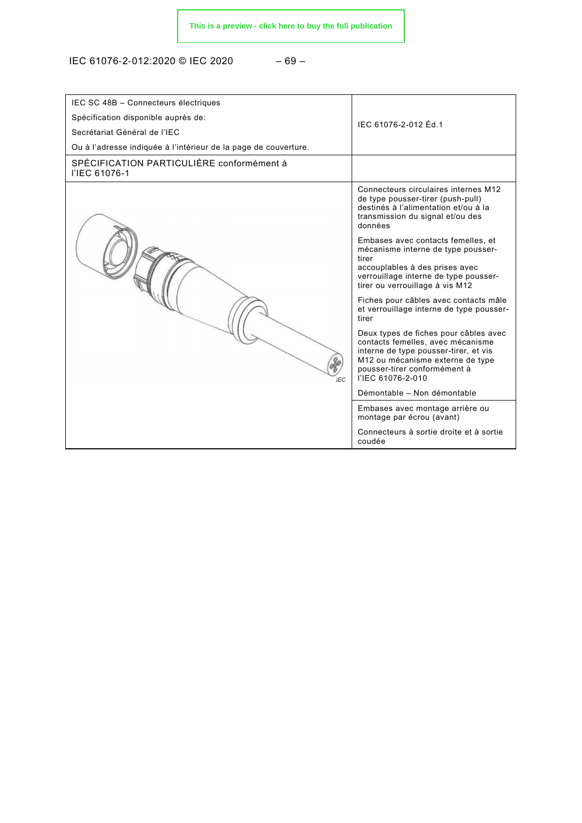IEC 61076‑2‑012:2020 © IEC 2020 – 69 –

| IEC SC 48B - Connecteurs électriques<br>Spécification disponible auprès de:<br>Secrétariat Général de l'IEC<br>Ou à l'adresse indiquée à l'intérieur de la page de couverture. | IFC 61076-2-012 Fd 1                                                                                                                                                                                         |
|--------------------------------------------------------------------------------------------------------------------------------------------------------------------------------|--------------------------------------------------------------------------------------------------------------------------------------------------------------------------------------------------------------|
| SPÉCIFICATION PARTICULIÈRE conformément à<br>l'IEC 61076-1                                                                                                                     |                                                                                                                                                                                                              |
|                                                                                                                                                                                | Connecteurs circulaires internes M12<br>de type pousser-tirer (push-pull)<br>destinés à l'alimentation et/ou à la<br>transmission du signal et/ou des<br>données                                             |
|                                                                                                                                                                                | Embases avec contacts femelles, et<br>mécanisme interne de type pousser-<br>tirer<br>accouplables à des prises avec<br>verrouillage interne de type pousser-<br>tirer ou verrouillage à vis M12              |
|                                                                                                                                                                                | Fiches pour câbles avec contacts mâle<br>et verrouillage interne de type pousser-<br>tirer                                                                                                                   |
| IFC.                                                                                                                                                                           | Deux types de fiches pour câbles avec<br>contacts femelles, avec mécanisme<br>interne de type pousser-tirer, et vis<br>M12 ou mécanisme externe de type<br>pousser-tirer conformément à<br>l'IEC 61076-2-010 |
|                                                                                                                                                                                | Démontable - Non démontable                                                                                                                                                                                  |
|                                                                                                                                                                                | Embases avec montage arrière ou<br>montage par écrou (avant)                                                                                                                                                 |
|                                                                                                                                                                                | Connecteurs à sortie droite et à sortie<br>coudée                                                                                                                                                            |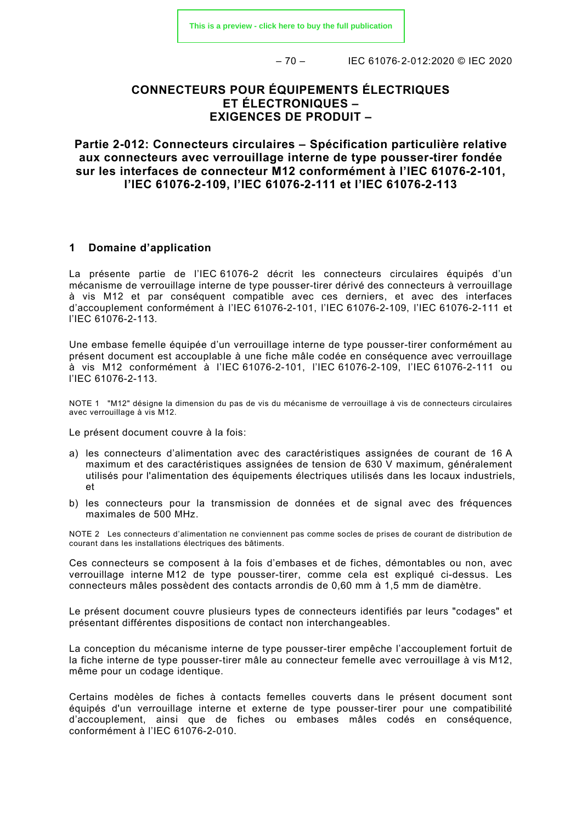– 70 – IEC 61076‑2‑012:2020 © IEC 2020

# **CONNECTEURS POUR ÉQUIPEMENTS ÉLECTRIQUES ET ÉLECTRONIQUES – EXIGENCES DE PRODUIT –**

**Partie 2-012: Connecteurs circulaires – Spécification particulière relative aux connecteurs avec verrouillage interne de type pousser-tirer fondée sur les interfaces de connecteur M12 conformément à l'IEC 61076-2-101, l'IEC 61076-2-109, l'IEC 61076-2-111 et l'IEC 61076-2-113**

#### <span id="page-20-0"></span>**1 Domaine d'application**

La présente partie de l'IEC 61076-2 décrit les connecteurs circulaires équipés d'un mécanisme de verrouillage interne de type pousser-tirer dérivé des connecteurs à verrouillage à vis M12 et par conséquent compatible avec ces derniers, et avec des interfaces d'accouplement conformément à l'IEC 61076-2-101, l'IEC 61076-2-109, l'IEC 61076-2-111 et l'IEC 61076-2-113.

Une embase femelle équipée d'un verrouillage interne de type pousser-tirer conformément au présent document est accouplable à une fiche mâle codée en conséquence avec verrouillage à vis M12 conformément à l'IEC 61076-2-101, l'IEC 61076-2-109, l'IEC 61076-2-111 ou l'IEC 61076-2-113.

NOTE 1 "M12" désigne la dimension du pas de vis du mécanisme de verrouillage à vis de connecteurs circulaires avec verrouillage à vis M12.

Le présent document couvre à la fois:

- a) les connecteurs d'alimentation avec des caractéristiques assignées de courant de 16 A maximum et des caractéristiques assignées de tension de 630 V maximum, généralement utilisés pour l'alimentation des équipements électriques utilisés dans les locaux industriels, et
- b) les connecteurs pour la transmission de données et de signal avec des fréquences maximales de 500 MHz.

NOTE 2 Les connecteurs d'alimentation ne conviennent pas comme socles de prises de courant de distribution de courant dans les installations électriques des bâtiments.

Ces connecteurs se composent à la fois d'embases et de fiches, démontables ou non, avec verrouillage interne M12 de type pousser-tirer, comme cela est expliqué ci-dessus. Les connecteurs mâles possèdent des contacts arrondis de 0,60 mm à 1,5 mm de diamètre.

Le présent document couvre plusieurs types de connecteurs identifiés par leurs "codages" et présentant différentes dispositions de contact non interchangeables.

La conception du mécanisme interne de type pousser-tirer empêche l'accouplement fortuit de la fiche interne de type pousser-tirer mâle au connecteur femelle avec verrouillage à vis M12, même pour un codage identique.

Certains modèles de fiches à contacts femelles couverts dans le présent document sont équipés d'un verrouillage interne et externe de type pousser-tirer pour une compatibilité d'accouplement, ainsi que de fiches ou embases mâles codés en conséquence, conformément à l'IEC 61076-2-010.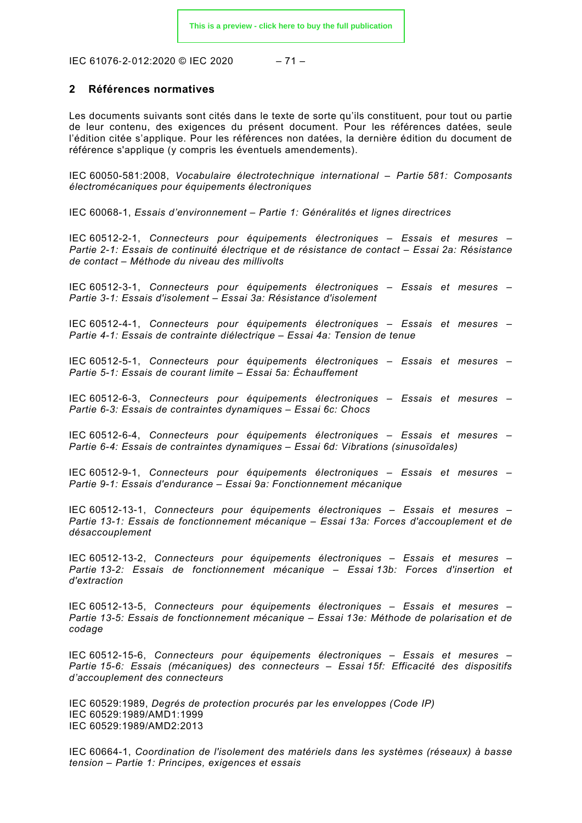IEC 61076‑2‑012:2020 © IEC 2020 – 71 –

#### <span id="page-21-0"></span>**2 Références normatives**

Les documents suivants sont cités dans le texte de sorte qu'ils constituent, pour tout ou partie de leur contenu, des exigences du présent document. Pour les références datées, seule l'édition citée s'applique. Pour les références non datées, la dernière édition du document de référence s'applique (y compris les éventuels amendements).

IEC 60050-581:2008, *Vocabulaire électrotechnique international – Partie 581: Composants électromécaniques pour équipements électroniques*

IEC 60068-1, *Essais d'environnement – Partie 1: Généralités et lignes directrices*

IEC 60512-2-1, *Connecteurs pour équipements électroniques – Essais et mesures – Partie 2-1: Essais de continuité électrique et de résistance de contact – Essai 2a: Résistance de contact – Méthode du niveau des millivolts*

IEC 60512-3-1, *Connecteurs pour équipements électroniques – Essais et mesures – Partie 3-1: Essais d'isolement – Essai 3a: Résistance d'isolement*

IEC 60512-4-1, *Connecteurs pour équipements électroniques – Essais et mesures – Partie 4-1: Essais de contrainte diélectrique – Essai 4a: Tension de tenue*

IEC 60512-5-1, *Connecteurs pour équipements électroniques – Essais et mesures – Partie 5-1: Essais de courant limite – Essai 5a: Échauffement*

IEC 60512-6-3, *Connecteurs pour équipements électroniques – Essais et mesures – Partie 6-3: Essais de contraintes dynamiques – Essai 6c: Chocs*

IEC 60512-6-4, *Connecteurs pour équipements électroniques – Essais et mesures – Partie 6-4: Essais de contraintes dynamiques – Essai 6d: Vibrations (sinusoïdales)*

IEC 60512-9-1, *Connecteurs pour équipements électroniques – Essais et mesures – Partie 9-1: Essais d'endurance – Essai 9a: Fonctionnement mécanique*

IEC 60512-13-1, *Connecteurs pour équipements électroniques – Essais et mesures – Partie 13-1: Essais de fonctionnement mécanique – Essai 13a: Forces d'accouplement et de désaccouplement*

IEC 60512-13-2, *Connecteurs pour équipements électroniques – Essais et mesures – Partie 13-2: Essais de fonctionnement mécanique – Essai 13b: Forces d'insertion et d'extraction*

IEC 60512-13-5, *Connecteurs pour équipements électroniques – Essais et mesures – Partie 13-5: Essais de fonctionnement mécanique – Essai 13e: Méthode de polarisation et de codage*

IEC 60512-15-6, *Connecteurs pour équipements électroniques – Essais et mesures – Partie 15-6: Essais (mécaniques) des connecteurs – Essai 15f: Efficacité des dispositifs d'accouplement des connecteurs*

IEC 60529:1989, *Degrés de protection procurés par les enveloppes (Code IP)* IEC 60529:1989/AMD1:1999 IEC 60529:1989/AMD2:2013

IEC 60664-1, *Coordination de l'isolement des matériels dans les systèmes (réseaux) à basse tension – Partie 1: Principes, exigences et essais*